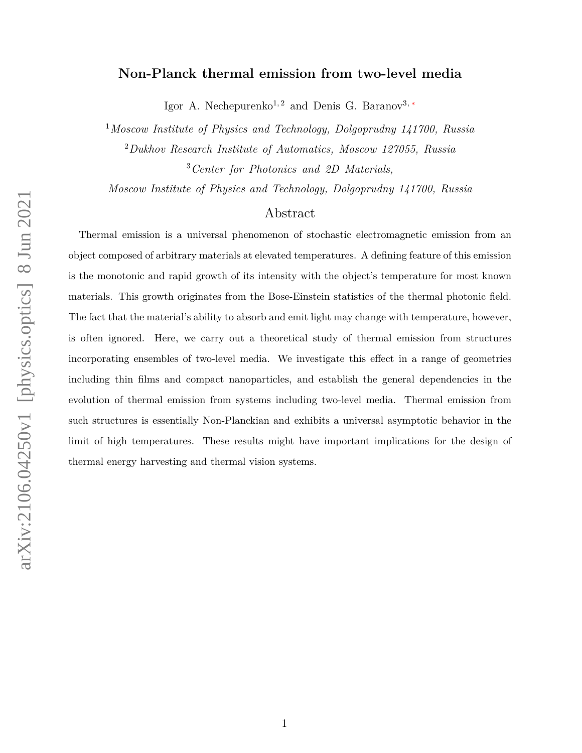# **Non-Planck thermal emission from two-level media**

Igor A. Nechepurenko<sup>1, 2</sup> and Denis G. Baranov<sup>3, [∗](#page-9-0)</sup>

<sup>1</sup>*Moscow Institute of Physics and Technology, Dolgoprudny 141700, Russia* <sup>2</sup>*Dukhov Research Institute of Automatics, Moscow 127055, Russia*

<sup>3</sup>*Center for Photonics and 2D Materials,*

*Moscow Institute of Physics and Technology, Dolgoprudny 141700, Russia*

# Abstract

Thermal emission is a universal phenomenon of stochastic electromagnetic emission from an object composed of arbitrary materials at elevated temperatures. A defining feature of this emission is the monotonic and rapid growth of its intensity with the object's temperature for most known materials. This growth originates from the Bose-Einstein statistics of the thermal photonic field. The fact that the material's ability to absorb and emit light may change with temperature, however, is often ignored. Here, we carry out a theoretical study of thermal emission from structures incorporating ensembles of two-level media. We investigate this effect in a range of geometries including thin films and compact nanoparticles, and establish the general dependencies in the evolution of thermal emission from systems including two-level media. Thermal emission from such structures is essentially Non-Planckian and exhibits a universal asymptotic behavior in the limit of high temperatures. These results might have important implications for the design of thermal energy harvesting and thermal vision systems.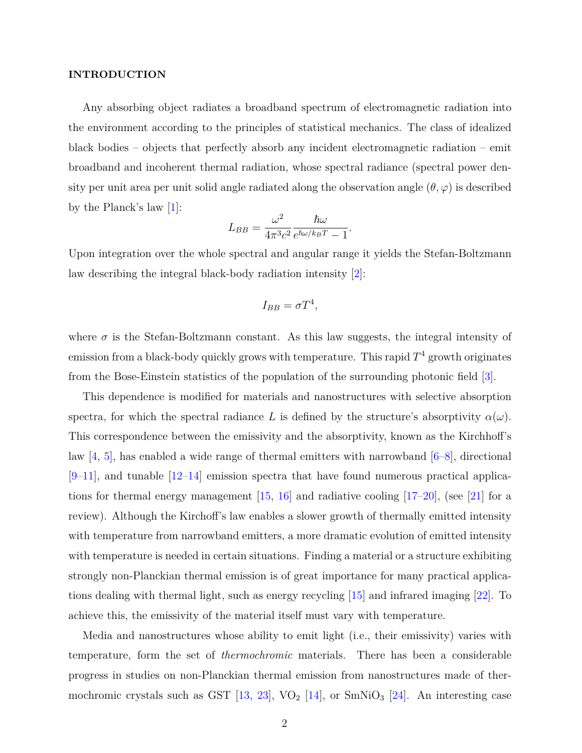#### **INTRODUCTION**

Any absorbing object radiates a broadband spectrum of electromagnetic radiation into the environment according to the principles of statistical mechanics. The class of idealized black bodies – objects that perfectly absorb any incident electromagnetic radiation – emit broadband and incoherent thermal radiation, whose spectral radiance (spectral power density per unit area per unit solid angle radiated along the observation angle  $(\theta, \varphi)$  is described by the Planck's law [\[1\]](#page-9-1):

$$
L_{BB} = \frac{\omega^2}{4\pi^3 c^2} \frac{\hbar \omega}{e^{\hbar \omega / k_B T} - 1}
$$

*.*

Upon integration over the whole spectral and angular range it yields the Stefan-Boltzmann law describing the integral black-body radiation intensity [\[2\]](#page-9-2):

$$
I_{BB} = \sigma T^4,
$$

where  $\sigma$  is the Stefan-Boltzmann constant. As this law suggests, the integral intensity of emission from a black-body quickly grows with temperature. This rapid  $T<sup>4</sup>$  growth originates from the Bose-Einstein statistics of the population of the surrounding photonic field [\[3\]](#page-9-3).

This dependence is modified for materials and nanostructures with selective absorption spectra, for which the spectral radiance L is defined by the structure's absorptivity  $\alpha(\omega)$ . This correspondence between the emissivity and the absorptivity, known as the Kirchhoff's law  $[4, 5]$  $[4, 5]$  $[4, 5]$ , has enabled a wide range of thermal emitters with narrowband  $[6-8]$  $[6-8]$ , directional  $[9-11]$  $[9-11]$ , and tunable  $[12-14]$  $[12-14]$  emission spectra that have found numerous practical applications for thermal energy management  $[15, 16]$  $[15, 16]$  $[15, 16]$  and radiative cooling  $[17–20]$  $[17–20]$ , (see [\[21\]](#page-10-7) for a review). Although the Kirchoff's law enables a slower growth of thermally emitted intensity with temperature from narrowband emitters, a more dramatic evolution of emitted intensity with temperature is needed in certain situations. Finding a material or a structure exhibiting strongly non-Planckian thermal emission is of great importance for many practical applications dealing with thermal light, such as energy recycling [\[15\]](#page-10-3) and infrared imaging [\[22\]](#page-10-8). To achieve this, the emissivity of the material itself must vary with temperature.

Media and nanostructures whose ability to emit light (i.e., their emissivity) varies with temperature, form the set of *thermochromic* materials. There has been a considerable progress in studies on non-Planckian thermal emission from nanostructures made of thermochromic crystals such as GST  $[13, 23]$  $[13, 23]$  $[13, 23]$ , VO<sub>2</sub>  $[14]$ , or SmNiO<sub>3</sub>  $[24]$ . An interesting case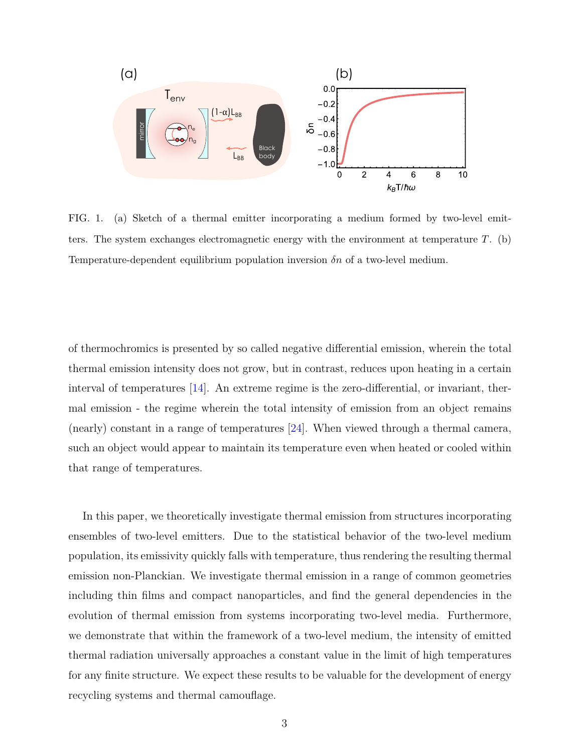

FIG. 1. (a) Sketch of a thermal emitter incorporating a medium formed by two-level emitters. The system exchanges electromagnetic energy with the environment at temperature *T*. (b) Temperature-dependent equilibrium population inversion *δn* of a two-level medium.

of thermochromics is presented by so called negative differential emission, wherein the total thermal emission intensity does not grow, but in contrast, reduces upon heating in a certain interval of temperatures [\[14\]](#page-10-2). An extreme regime is the zero-differential, or invariant, thermal emission - the regime wherein the total intensity of emission from an object remains (nearly) constant in a range of temperatures [\[24\]](#page-10-11). When viewed through a thermal camera, such an object would appear to maintain its temperature even when heated or cooled within that range of temperatures.

In this paper, we theoretically investigate thermal emission from structures incorporating ensembles of two-level emitters. Due to the statistical behavior of the two-level medium population, its emissivity quickly falls with temperature, thus rendering the resulting thermal emission non-Planckian. We investigate thermal emission in a range of common geometries including thin films and compact nanoparticles, and find the general dependencies in the evolution of thermal emission from systems incorporating two-level media. Furthermore, we demonstrate that within the framework of a two-level medium, the intensity of emitted thermal radiation universally approaches a constant value in the limit of high temperatures for any finite structure. We expect these results to be valuable for the development of energy recycling systems and thermal camouflage.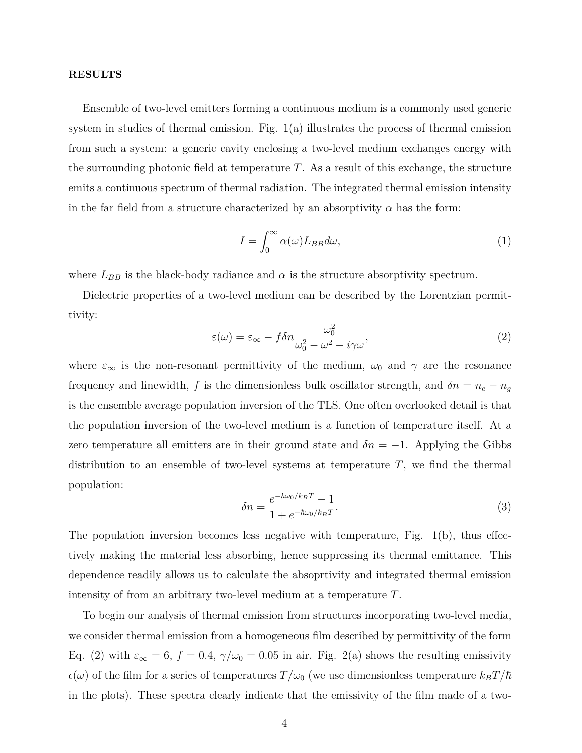### **RESULTS**

Ensemble of two-level emitters forming a continuous medium is a commonly used generic system in studies of thermal emission. Fig.  $1(a)$  illustrates the process of thermal emission from such a system: a generic cavity enclosing a two-level medium exchanges energy with the surrounding photonic field at temperature *T*. As a result of this exchange, the structure emits a continuous spectrum of thermal radiation. The integrated thermal emission intensity in the far field from a structure characterized by an absorptivity  $\alpha$  has the form:

$$
I = \int_0^\infty \alpha(\omega) L_{BB} d\omega,\tag{1}
$$

where  $L_{BB}$  is the black-body radiance and  $\alpha$  is the structure absorptivity spectrum.

Dielectric properties of a two-level medium can be described by the Lorentzian permittivity:

$$
\varepsilon(\omega) = \varepsilon_{\infty} - f \delta n \frac{\omega_0^2}{\omega_0^2 - \omega^2 - i\gamma \omega},\tag{2}
$$

where  $\varepsilon_{\infty}$  is the non-resonant permittivity of the medium,  $\omega_0$  and  $\gamma$  are the resonance frequency and linewidth, *f* is the dimensionless bulk oscillator strength, and  $\delta n = n_e - n_g$ is the ensemble average population inversion of the TLS. One often overlooked detail is that the population inversion of the two-level medium is a function of temperature itself. At a zero temperature all emitters are in their ground state and  $\delta n = -1$ . Applying the Gibbs distribution to an ensemble of two-level systems at temperature *T*, we find the thermal population:

$$
\delta n = \frac{e^{-\hbar\omega_0/k_B T} - 1}{1 + e^{-\hbar\omega_0/k_B T}}.\tag{3}
$$

The population inversion becomes less negative with temperature, Fig. 1(b), thus effectively making the material less absorbing, hence suppressing its thermal emittance. This dependence readily allows us to calculate the absoprtivity and integrated thermal emission intensity of from an arbitrary two-level medium at a temperature *T*.

To begin our analysis of thermal emission from structures incorporating two-level media, we consider thermal emission from a homogeneous film described by permittivity of the form Eq. (2) with  $\varepsilon_{\infty} = 6$ ,  $f = 0.4$ ,  $\gamma/\omega_0 = 0.05$  in air. Fig. 2(a) shows the resulting emissivity  $\epsilon(\omega)$  of the film for a series of temperatures  $T/\omega_0$  (we use dimensionless temperature  $k_B T/\hbar$ in the plots). These spectra clearly indicate that the emissivity of the film made of a two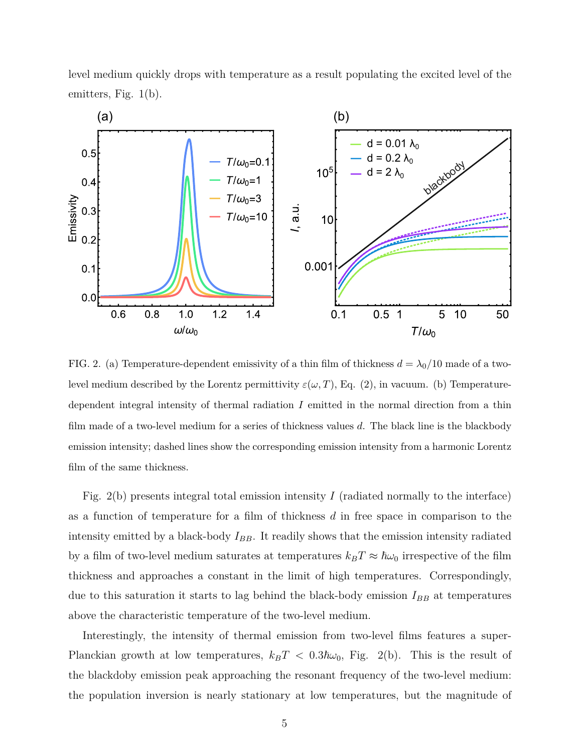level medium quickly drops with temperature as a result populating the excited level of the emitters, Fig. 1(b).



FIG. 2. (a) Temperature-dependent emissivity of a thin film of thickness  $d = \lambda_0/10$  made of a twolevel medium described by the Lorentz permittivity  $\varepsilon(\omega, T)$ , Eq. (2), in vacuum. (b) Temperaturedependent integral intensity of thermal radiation *I* emitted in the normal direction from a thin film made of a two-level medium for a series of thickness values *d*. The black line is the blackbody emission intensity; dashed lines show the corresponding emission intensity from a harmonic Lorentz film of the same thickness.

Fig. 2(b) presents integral total emission intensity *I* (radiated normally to the interface) as a function of temperature for a film of thickness *d* in free space in comparison to the intensity emitted by a black-body  $I_{BB}$ . It readily shows that the emission intensity radiated by a film of two-level medium saturates at temperatures  $k_B T \approx \hbar \omega_0$  irrespective of the film thickness and approaches a constant in the limit of high temperatures. Correspondingly, due to this saturation it starts to lag behind the black-body emission  $I_{BB}$  at temperatures above the characteristic temperature of the two-level medium.

Interestingly, the intensity of thermal emission from two-level films features a super-Planckian growth at low temperatures,  $k_B T < 0.3\hbar\omega_0$ , Fig. 2(b). This is the result of the blackdoby emission peak approaching the resonant frequency of the two-level medium: the population inversion is nearly stationary at low temperatures, but the magnitude of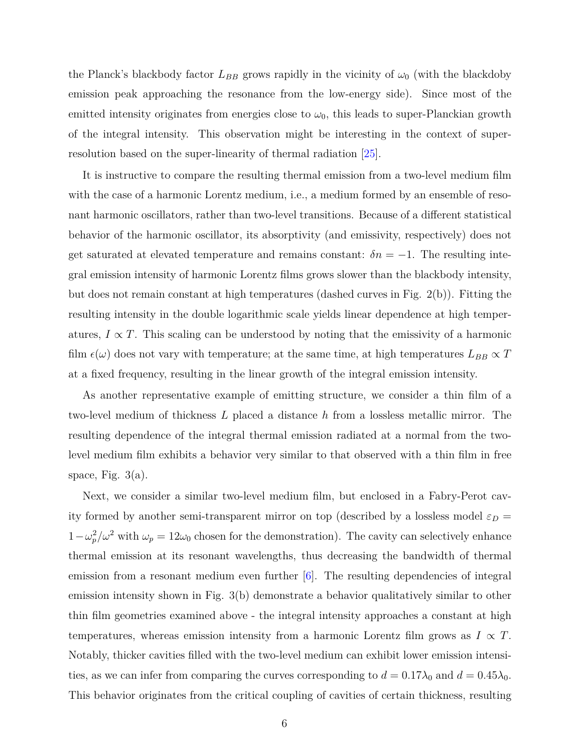the Planck's blackbody factor  $L_{BB}$  grows rapidly in the vicinity of  $\omega_0$  (with the blackdoby emission peak approaching the resonance from the low-energy side). Since most of the emitted intensity originates from energies close to  $\omega_0$ , this leads to super-Planckian growth of the integral intensity. This observation might be interesting in the context of superresolution based on the super-linearity of thermal radiation [\[25\]](#page-10-12).

It is instructive to compare the resulting thermal emission from a two-level medium film with the case of a harmonic Lorentz medium, i.e., a medium formed by an ensemble of resonant harmonic oscillators, rather than two-level transitions. Because of a different statistical behavior of the harmonic oscillator, its absorptivity (and emissivity, respectively) does not get saturated at elevated temperature and remains constant:  $\delta n = -1$ . The resulting integral emission intensity of harmonic Lorentz films grows slower than the blackbody intensity, but does not remain constant at high temperatures (dashed curves in Fig. 2(b)). Fitting the resulting intensity in the double logarithmic scale yields linear dependence at high temperatures,  $I \propto T$ . This scaling can be understood by noting that the emissivity of a harmonic film  $\epsilon(\omega)$  does not vary with temperature; at the same time, at high temperatures  $L_{BB} \propto T$ at a fixed frequency, resulting in the linear growth of the integral emission intensity.

As another representative example of emitting structure, we consider a thin film of a two-level medium of thickness *L* placed a distance *h* from a lossless metallic mirror. The resulting dependence of the integral thermal emission radiated at a normal from the twolevel medium film exhibits a behavior very similar to that observed with a thin film in free space, Fig.  $3(a)$ .

Next, we consider a similar two-level medium film, but enclosed in a Fabry-Perot cavity formed by another semi-transparent mirror on top (described by a lossless model  $\varepsilon_D$  =  $1-\omega_p^2/\omega^2$  with  $\omega_p=12\omega_0$  chosen for the demonstration). The cavity can selectively enhance thermal emission at its resonant wavelengths, thus decreasing the bandwidth of thermal emission from a resonant medium even further [\[6\]](#page-9-6). The resulting dependencies of integral emission intensity shown in Fig. 3(b) demonstrate a behavior qualitatively similar to other thin film geometries examined above - the integral intensity approaches a constant at high temperatures, whereas emission intensity from a harmonic Lorentz film grows as  $I \propto T$ . Notably, thicker cavities filled with the two-level medium can exhibit lower emission intensities, as we can infer from comparing the curves corresponding to  $d = 0.17\lambda_0$  and  $d = 0.45\lambda_0$ . This behavior originates from the critical coupling of cavities of certain thickness, resulting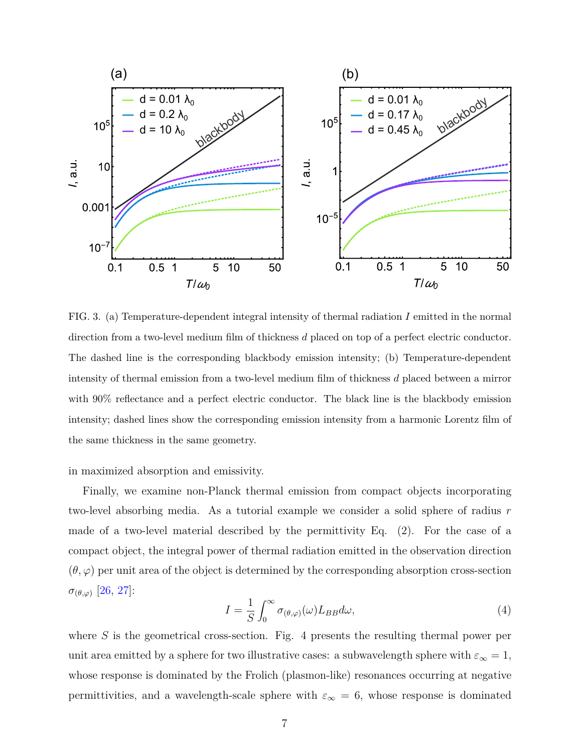

FIG. 3. (a) Temperature-dependent integral intensity of thermal radiation *I* emitted in the normal direction from a two-level medium film of thickness *d* placed on top of a perfect electric conductor. The dashed line is the corresponding blackbody emission intensity; (b) Temperature-dependent intensity of thermal emission from a two-level medium film of thickness *d* placed between a mirror with 90% reflectance and a perfect electric conductor. The black line is the blackbody emission intensity; dashed lines show the corresponding emission intensity from a harmonic Lorentz film of the same thickness in the same geometry.

in maximized absorption and emissivity.

Finally, we examine non-Planck thermal emission from compact objects incorporating two-level absorbing media. As a tutorial example we consider a solid sphere of radius *r* made of a two-level material described by the permittivity Eq. (2). For the case of a compact object, the integral power of thermal radiation emitted in the observation direction  $(\theta, \varphi)$  per unit area of the object is determined by the corresponding absorption cross-section *σ*(*θ,ϕ*) [\[26,](#page-10-13) [27\]](#page-10-14):

$$
I = \frac{1}{S} \int_0^\infty \sigma_{(\theta,\varphi)}(\omega) L_{BB} d\omega,\tag{4}
$$

where *S* is the geometrical cross-section. Fig. 4 presents the resulting thermal power per unit area emitted by a sphere for two illustrative cases: a subwavelength sphere with  $\varepsilon_{\infty} = 1$ , whose response is dominated by the Frolich (plasmon-like) resonances occurring at negative permittivities, and a wavelength-scale sphere with  $\varepsilon_{\infty} = 6$ , whose response is dominated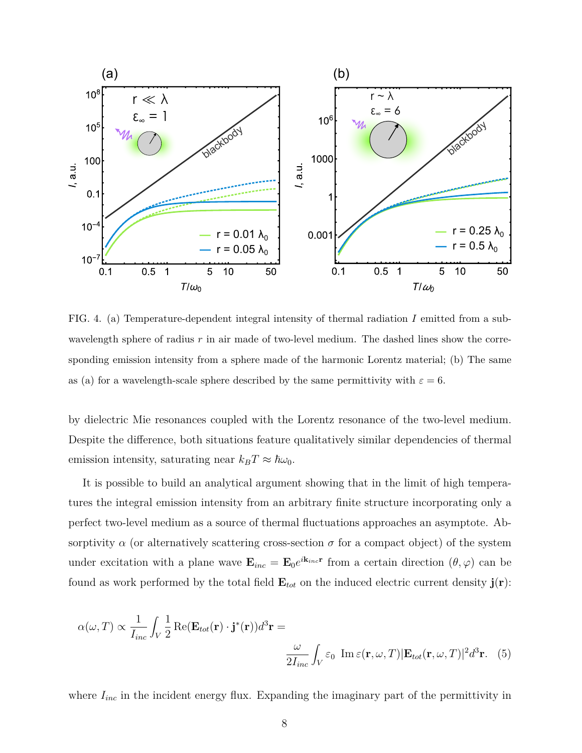

FIG. 4. (a) Temperature-dependent integral intensity of thermal radiation *I* emitted from a subwavelength sphere of radius  $r$  in air made of two-level medium. The dashed lines show the corresponding emission intensity from a sphere made of the harmonic Lorentz material; (b) The same as (a) for a wavelength-scale sphere described by the same permittivity with  $\varepsilon = 6$ .

by dielectric Mie resonances coupled with the Lorentz resonance of the two-level medium. Despite the difference, both situations feature qualitatively similar dependencies of thermal emission intensity, saturating near  $k_B T \approx \hbar \omega_0$ .

It is possible to build an analytical argument showing that in the limit of high temperatures the integral emission intensity from an arbitrary finite structure incorporating only a perfect two-level medium as a source of thermal fluctuations approaches an asymptote. Absorptivity  $\alpha$  (or alternatively scattering cross-section  $\sigma$  for a compact object) of the system under excitation with a plane wave  $\mathbf{E}_{inc} = \mathbf{E}_0 e^{i\mathbf{k}_{inc}\mathbf{r}}$  from a certain direction  $(\theta, \varphi)$  can be found as work performed by the total field  $\mathbf{E}_{tot}$  on the induced electric current density  $\mathbf{j}(\mathbf{r})$ :

$$
\alpha(\omega, T) \propto \frac{1}{I_{inc}} \int_{V} \frac{1}{2} \operatorname{Re} (\mathbf{E}_{tot}(\mathbf{r}) \cdot \mathbf{j}^*(\mathbf{r})) d^3 \mathbf{r} =
$$

$$
\frac{\omega}{2I_{inc}} \int_{V} \varepsilon_0 \operatorname{Im} \varepsilon(\mathbf{r}, \omega, T) |\mathbf{E}_{tot}(\mathbf{r}, \omega, T)|^2 d^3 \mathbf{r}.
$$
 (5)

where  $I_{inc}$  in the incident energy flux. Expanding the imaginary part of the permittivity in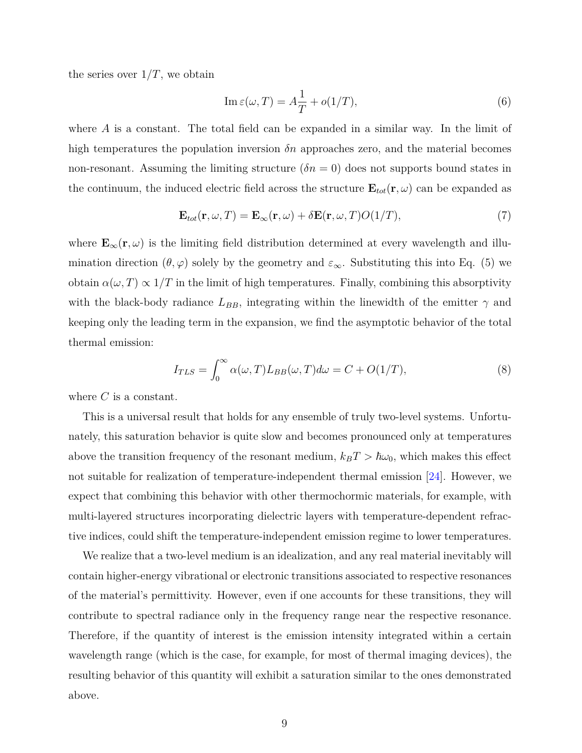the series over  $1/T$ , we obtain

$$
\operatorname{Im}\varepsilon(\omega,T) = A\frac{1}{T} + o(1/T),\tag{6}
$$

where *A* is a constant. The total field can be expanded in a similar way. In the limit of high temperatures the population inversion *δn* approaches zero, and the material becomes non-resonant. Assuming the limiting structure  $(\delta n = 0)$  does not supports bound states in the continuum, the induced electric field across the structure  $\mathbf{E}_{tot}(\mathbf{r}, \omega)$  can be expanded as

$$
\mathbf{E}_{tot}(\mathbf{r}, \omega, T) = \mathbf{E}_{\infty}(\mathbf{r}, \omega) + \delta \mathbf{E}(\mathbf{r}, \omega, T) O(1/T), \tag{7}
$$

where  $\mathbf{E}_{\infty}(\mathbf{r}, \omega)$  is the limiting field distribution determined at every wavelength and illumination direction  $(\theta, \varphi)$  solely by the geometry and  $\varepsilon_{\infty}$ . Substituting this into Eq. (5) we obtain  $\alpha(\omega, T) \propto 1/T$  in the limit of high temperatures. Finally, combining this absorptivity with the black-body radiance  $L_{BB}$ , integrating within the linewidth of the emitter  $\gamma$  and keeping only the leading term in the expansion, we find the asymptotic behavior of the total thermal emission:

$$
I_{TLS} = \int_0^\infty \alpha(\omega, T) L_{BB}(\omega, T) d\omega = C + O(1/T), \tag{8}
$$

where *C* is a constant.

This is a universal result that holds for any ensemble of truly two-level systems. Unfortunately, this saturation behavior is quite slow and becomes pronounced only at temperatures above the transition frequency of the resonant medium,  $k_B T > \hbar \omega_0$ , which makes this effect not suitable for realization of temperature-independent thermal emission [\[24\]](#page-10-11). However, we expect that combining this behavior with other thermochormic materials, for example, with multi-layered structures incorporating dielectric layers with temperature-dependent refractive indices, could shift the temperature-independent emission regime to lower temperatures.

We realize that a two-level medium is an idealization, and any real material inevitably will contain higher-energy vibrational or electronic transitions associated to respective resonances of the material's permittivity. However, even if one accounts for these transitions, they will contribute to spectral radiance only in the frequency range near the respective resonance. Therefore, if the quantity of interest is the emission intensity integrated within a certain wavelength range (which is the case, for example, for most of thermal imaging devices), the resulting behavior of this quantity will exhibit a saturation similar to the ones demonstrated above.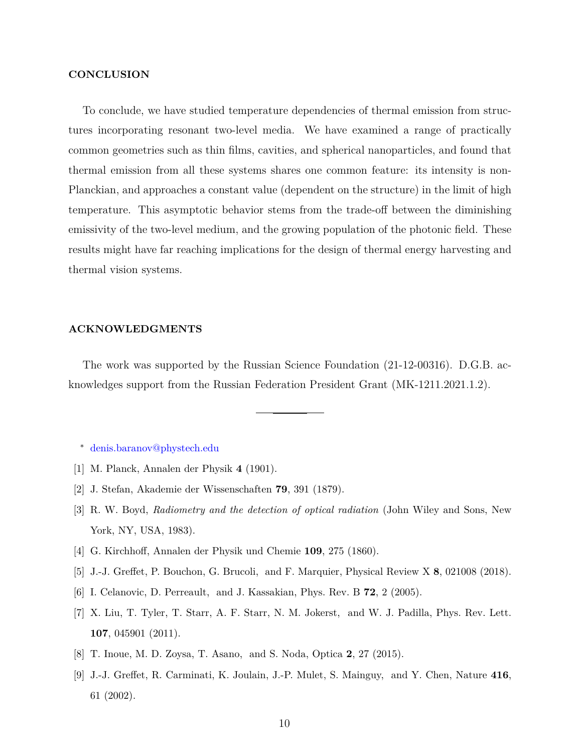#### **CONCLUSION**

To conclude, we have studied temperature dependencies of thermal emission from structures incorporating resonant two-level media. We have examined a range of practically common geometries such as thin films, cavities, and spherical nanoparticles, and found that thermal emission from all these systems shares one common feature: its intensity is non-Planckian, and approaches a constant value (dependent on the structure) in the limit of high temperature. This asymptotic behavior stems from the trade-off between the diminishing emissivity of the two-level medium, and the growing population of the photonic field. These results might have far reaching implications for the design of thermal energy harvesting and thermal vision systems.

## **ACKNOWLEDGMENTS**

The work was supported by the Russian Science Foundation (21-12-00316). D.G.B. acknowledges support from the Russian Federation President Grant (MK-1211.2021.1.2).

<span id="page-9-1"></span><span id="page-9-0"></span><sup>∗</sup> [denis.baranov@phystech.edu](mailto:denis.baranov@phystech.edu)

- <span id="page-9-2"></span>[1] M. Planck, Annalen der Physik **4** (1901).
- <span id="page-9-3"></span>[2] J. Stefan, Akademie der Wissenschaften **79**, 391 (1879).
- [3] R. W. Boyd, *Radiometry and the detection of optical radiation* (John Wiley and Sons, New York, NY, USA, 1983).
- <span id="page-9-5"></span><span id="page-9-4"></span>[4] G. Kirchhoff, Annalen der Physik und Chemie **109**, 275 (1860).
- <span id="page-9-6"></span>[5] J.-J. Greffet, P. Bouchon, G. Brucoli, and F. Marquier, Physical Review X **8**, 021008 (2018).
- [6] I. Celanovic, D. Perreault, and J. Kassakian, Phys. Rev. B **72**, 2 (2005).
- [7] X. Liu, T. Tyler, T. Starr, A. F. Starr, N. M. Jokerst, and W. J. Padilla, Phys. Rev. Lett. **107**, 045901 (2011).
- <span id="page-9-8"></span><span id="page-9-7"></span>[8] T. Inoue, M. D. Zoysa, T. Asano, and S. Noda, Optica **2**, 27 (2015).
- [9] J.-J. Greffet, R. Carminati, K. Joulain, J.-P. Mulet, S. Mainguy, and Y. Chen, Nature **416**, 61 (2002).